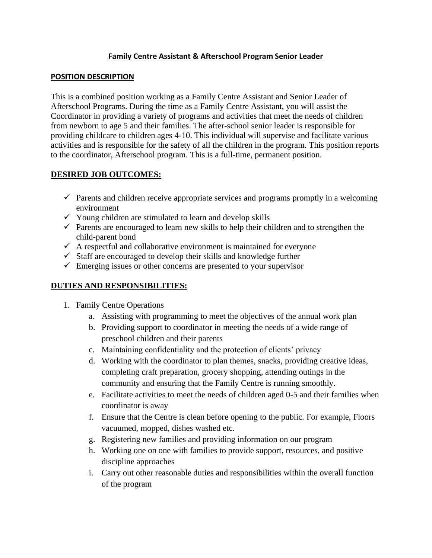### **Family Centre Assistant & Afterschool Program Senior Leader**

#### **POSITION DESCRIPTION**

This is a combined position working as a Family Centre Assistant and Senior Leader of Afterschool Programs. During the time as a Family Centre Assistant, you will assist the Coordinator in providing a variety of programs and activities that meet the needs of children from newborn to age 5 and their families. The after-school senior leader is responsible for providing childcare to children ages 4-10. This individual will supervise and facilitate various activities and is responsible for the safety of all the children in the program. This position reports to the coordinator, Afterschool program. This is a full-time, permanent position.

#### **DESIRED JOB OUTCOMES:**

- $\checkmark$  Parents and children receive appropriate services and programs promptly in a welcoming environment
- $\checkmark$  Young children are stimulated to learn and develop skills
- $\checkmark$  Parents are encouraged to learn new skills to help their children and to strengthen the child-parent bond
- $\checkmark$  A respectful and collaborative environment is maintained for everyone
- $\checkmark$  Staff are encouraged to develop their skills and knowledge further
- $\checkmark$  Emerging issues or other concerns are presented to your supervisor

# **DUTIES AND RESPONSIBILITIES:**

- 1. Family Centre Operations
	- a. Assisting with programming to meet the objectives of the annual work plan
	- b. Providing support to coordinator in meeting the needs of a wide range of preschool children and their parents
	- c. Maintaining confidentiality and the protection of clients' privacy
	- d. Working with the coordinator to plan themes, snacks, providing creative ideas, completing craft preparation, grocery shopping, attending outings in the community and ensuring that the Family Centre is running smoothly.
	- e. Facilitate activities to meet the needs of children aged 0-5 and their families when coordinator is away
	- f. Ensure that the Centre is clean before opening to the public. For example, Floors vacuumed, mopped, dishes washed etc.
	- g. Registering new families and providing information on our program
	- h. Working one on one with families to provide support, resources, and positive discipline approaches
	- i. Carry out other reasonable duties and responsibilities within the overall function of the program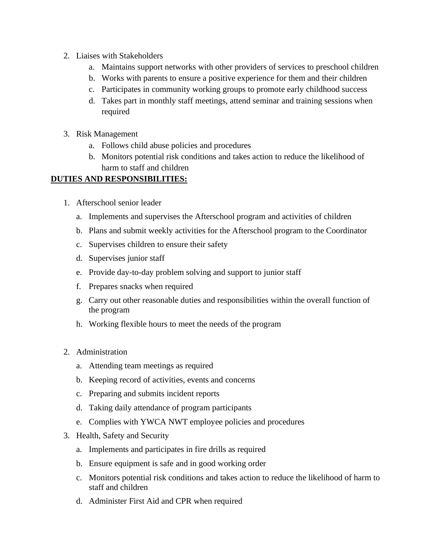- 2. Liaises with Stakeholders
	- a. Maintains support networks with other providers of services to preschool children
	- b. Works with parents to ensure a positive experience for them and their children
	- c. Participates in community working groups to promote early childhood success
	- d. Takes part in monthly staff meetings, attend seminar and training sessions when required
- 3. Risk Management
	- a. Follows child abuse policies and procedures
	- b. Monitors potential risk conditions and takes action to reduce the likelihood of harm to staff and children

# **DUTIES AND RESPONSIBILITIES:**

- 1. Afterschool senior leader
	- a. Implements and supervises the Afterschool program and activities of children
	- b. Plans and submit weekly activities for the Afterschool program to the Coordinator
	- c. Supervises children to ensure their safety
	- d. Supervises junior staff
	- e. Provide day-to-day problem solving and support to junior staff
	- f. Prepares snacks when required
	- g. Carry out other reasonable duties and responsibilities within the overall function of the program
	- h. Working flexible hours to meet the needs of the program
- 2. Administration
	- a. Attending team meetings as required
	- b. Keeping record of activities, events and concerns
	- c. Preparing and submits incident reports
	- d. Taking daily attendance of program participants
	- e. Complies with YWCA NWT employee policies and procedures
- 3. Health, Safety and Security
	- a. Implements and participates in fire drills as required
	- b. Ensure equipment is safe and in good working order
	- c. Monitors potential risk conditions and takes action to reduce the likelihood of harm to staff and children
	- d. Administer First Aid and CPR when required